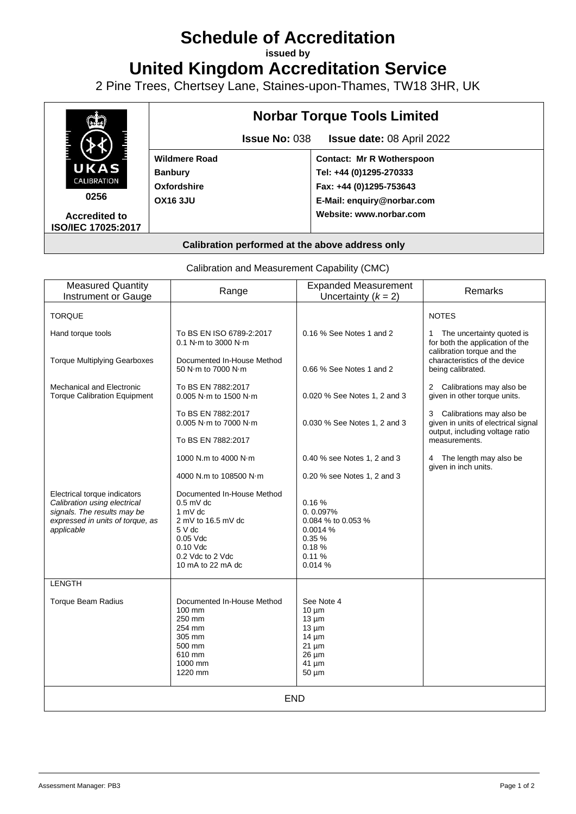# **Schedule of Accreditation**

**issued by**

**United Kingdom Accreditation Service**

2 Pine Trees, Chertsey Lane, Staines-upon-Thames, TW18 3HR, UK



## **Calibration performed at the above address only**

Calibration and Measurement Capability (CMC)

| <b>Measured Quantity</b><br><b>Instrument or Gauge</b>                                                                                        | Range                                                                                                                                                   | <b>Expanded Measurement</b><br>Uncertainty $(k = 2)$                                                                       | <b>Remarks</b>                                                                                          |
|-----------------------------------------------------------------------------------------------------------------------------------------------|---------------------------------------------------------------------------------------------------------------------------------------------------------|----------------------------------------------------------------------------------------------------------------------------|---------------------------------------------------------------------------------------------------------|
| <b>TORQUE</b>                                                                                                                                 |                                                                                                                                                         |                                                                                                                            | <b>NOTES</b>                                                                                            |
| Hand torque tools                                                                                                                             | To BS EN ISO 6789-2:2017<br>0.1 N $\cdot$ m to 3000 N $\cdot$ m                                                                                         | 0.16 % See Notes 1 and 2                                                                                                   | The uncertainty quoted is<br>1<br>for both the application of the<br>calibration torque and the         |
| <b>Torque Multiplying Gearboxes</b>                                                                                                           | Documented In-House Method<br>50 N·m to 7000 N·m                                                                                                        | 0.66 % See Notes 1 and 2                                                                                                   | characteristics of the device<br>being calibrated.                                                      |
| <b>Mechanical and Electronic</b><br><b>Torque Calibration Equipment</b>                                                                       | To BS EN 7882:2017<br>0.005 N·m to 1500 N·m                                                                                                             | 0.020 % See Notes 1, 2 and 3                                                                                               | 2 Calibrations may also be<br>given in other torque units.                                              |
|                                                                                                                                               | To BS EN 7882:2017<br>$0.005$ N·m to 7000 N·m                                                                                                           | 0.030 % See Notes 1, 2 and 3                                                                                               | Calibrations may also be<br>3<br>given in units of electrical signal<br>output, including voltage ratio |
|                                                                                                                                               | To BS EN 7882:2017                                                                                                                                      |                                                                                                                            | measurements.                                                                                           |
|                                                                                                                                               | 1000 N.m to 4000 N·m                                                                                                                                    | 0.40 % see Notes 1, 2 and 3                                                                                                | The length may also be<br>4<br>given in inch units.                                                     |
|                                                                                                                                               | 4000 N.m to 108500 N.m                                                                                                                                  | 0.20 % see Notes 1, 2 and 3                                                                                                |                                                                                                         |
| Electrical torque indicators<br>Calibration using electrical<br>signals. The results may be<br>expressed in units of torque, as<br>applicable | Documented In-House Method<br>$0.5$ mV dc<br>1 mV dc<br>2 mV to 16.5 mV dc<br>5Vdc<br>$0.05$ Vdc<br>$0.10$ Vdc<br>0.2 Vdc to 2 Vdc<br>10 mA to 22 mA dc | 0.16%<br>0.0.097%<br>0.084 % to 0.053 %<br>0.0014%<br>0.35%<br>0.18%<br>0.11%<br>0.014%                                    |                                                                                                         |
| <b>LENGTH</b>                                                                                                                                 |                                                                                                                                                         |                                                                                                                            |                                                                                                         |
| <b>Torque Beam Radius</b>                                                                                                                     | Documented In-House Method<br>100 mm<br>250 mm<br>254 mm<br>305 mm<br>500 mm<br>610 mm<br>1000 mm<br>1220 mm                                            | See Note 4<br>$10 \mu m$<br>$13 \mu m$<br>$13 \mu m$<br>$14 \mu m$<br>$21 \mu m$<br>$26 \mu m$<br>$41 \mu m$<br>$50 \mu m$ |                                                                                                         |
| <b>END</b>                                                                                                                                    |                                                                                                                                                         |                                                                                                                            |                                                                                                         |